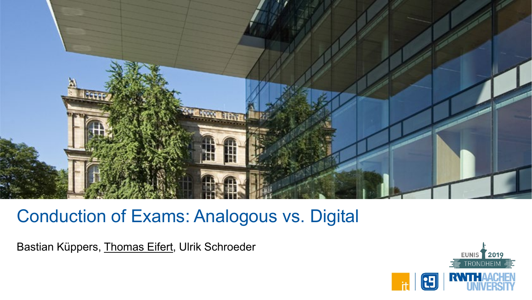

# Conduction of Exams: Analogous vs. Digital

Bastian Küppers, Thomas Eifert, Ulrik Schroeder

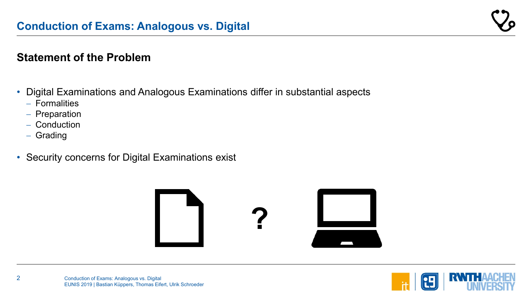#### **Statement of the Problem**

- Digital Examinations and Analogous Examinations differ in substantial aspects
	- − Formalities
	- − Preparation
	- − Conduction
	- − Grading
- Security concerns for Digital Examinations exist



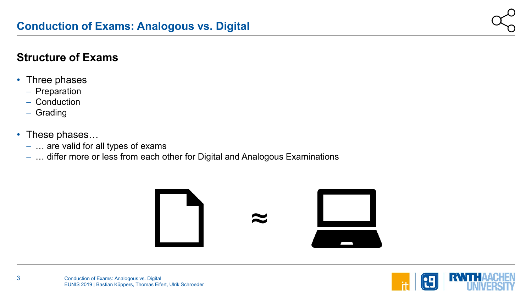#### **Structure of Exams**

- Three phases
	- − Preparation
	- − Conduction
	- − Grading
- These phases…
	- − … are valid for all types of exams
	- − … differ more or less from each other for Digital and Analogous Examinations



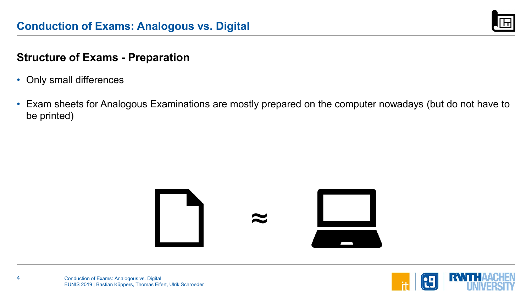

#### **Structure of Exams - Preparation**

- Only small differences
- Exam sheets for Analogous Examinations are mostly prepared on the computer nowadays (but do not have to be printed)



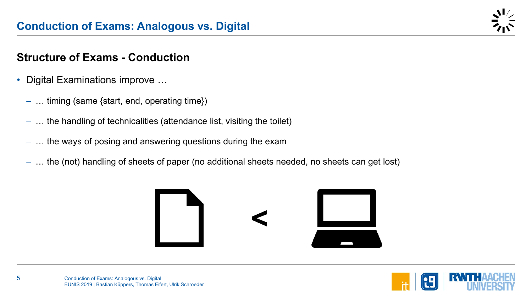#### **Structure of Exams - Conduction**

- Digital Examinations improve …
	- − … timing (same {start, end, operating time})
	- − … the handling of technicalities (attendance list, visiting the toilet)
	- − … the ways of posing and answering questions during the exam
	- − … the (not) handling of sheets of paper (no additional sheets needed, no sheets can get lost)



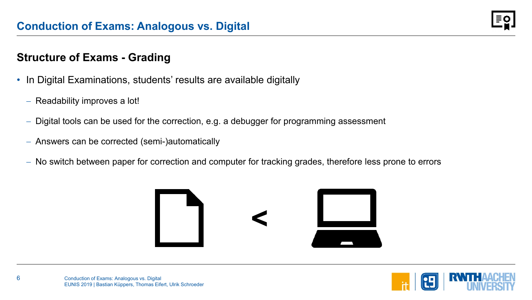#### **Structure of Exams - Grading**

- In Digital Examinations, students' results are available digitally
	- − Readability improves a lot!
	- Digital tools can be used for the correction, e.g. a debugger for programming assessment
	- − Answers can be corrected (semi-)automatically
	- − No switch between paper for correction and computer for tracking grades, therefore less prone to errors



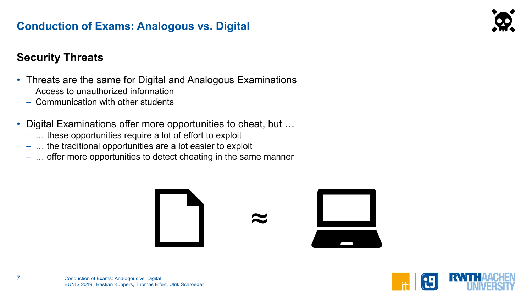

#### **Security Threats**

- Threats are the same for Digital and Analogous Examinations
	- − Access to unauthorized information
	- − Communication with other students
- Digital Examinations offer more opportunities to cheat, but …
	- − … these opportunities require a lot of effort to exploit
	- − … the traditional opportunities are a lot easier to exploit
	- − … offer more opportunities to detect cheating in the same manner



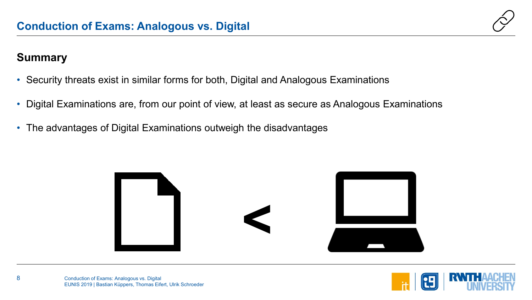

#### **Summary**

- Security threats exist in similar forms for both, Digital and Analogous Examinations
- Digital Examinations are, from our point of view, at least as secure as Analogous Examinations
- The advantages of Digital Examinations outweigh the disadvantages